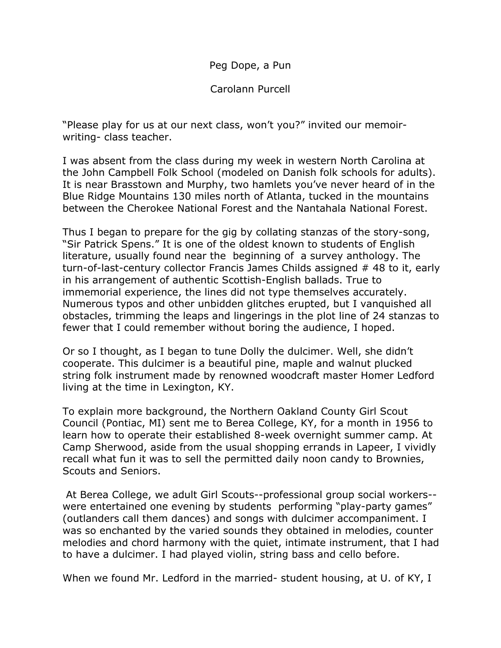Peg Dope, a Pun

Carolann Purcell

"Please play for us at our next class, won't you?" invited our memoirwriting- class teacher.

I was absent from the class during my week in western North Carolina at the John Campbell Folk School (modeled on Danish folk schools for adults). It is near Brasstown and Murphy, two hamlets you've never heard of in the Blue Ridge Mountains 130 miles north of Atlanta, tucked in the mountains between the Cherokee National Forest and the Nantahala National Forest.

Thus I began to prepare for the gig by collating stanzas of the story-song, "Sir Patrick Spens." It is one of the oldest known to students of English literature, usually found near the beginning of a survey anthology. The turn-of-last-century collector Francis James Childs assigned # 48 to it, early in his arrangement of authentic Scottish-English ballads. True to immemorial experience, the lines did not type themselves accurately. Numerous typos and other unbidden glitches erupted, but I vanquished all obstacles, trimming the leaps and lingerings in the plot line of 24 stanzas to fewer that I could remember without boring the audience, I hoped.

Or so I thought, as I began to tune Dolly the dulcimer. Well, she didn't cooperate. This dulcimer is a beautiful pine, maple and walnut plucked string folk instrument made by renowned woodcraft master Homer Ledford living at the time in Lexington, KY.

To explain more background, the Northern Oakland County Girl Scout Council (Pontiac, MI) sent me to Berea College, KY, for a month in 1956 to learn how to operate their established 8-week overnight summer camp. At Camp Sherwood, aside from the usual shopping errands in Lapeer, I vividly recall what fun it was to sell the permitted daily noon candy to Brownies, Scouts and Seniors.

 At Berea College, we adult Girl Scouts--professional group social workers- were entertained one evening by students performing "play-party games" (outlanders call them dances) and songs with dulcimer accompaniment. I was so enchanted by the varied sounds they obtained in melodies, counter melodies and chord harmony with the quiet, intimate instrument, that I had to have a dulcimer. I had played violin, string bass and cello before.

When we found Mr. Ledford in the married- student housing, at U. of KY, I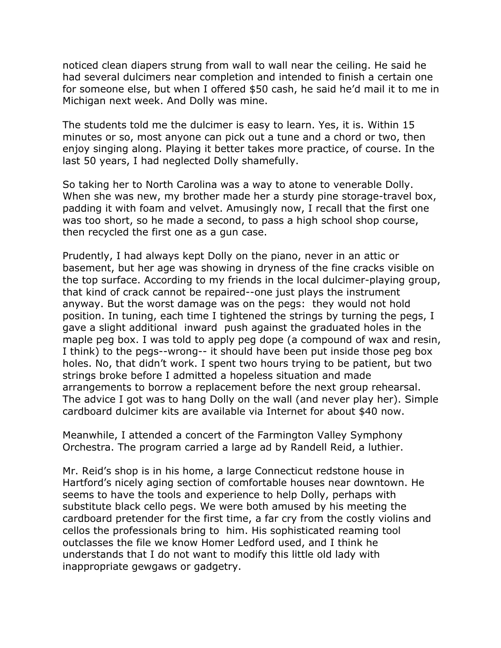noticed clean diapers strung from wall to wall near the ceiling. He said he had several dulcimers near completion and intended to finish a certain one for someone else, but when I offered \$50 cash, he said he'd mail it to me in Michigan next week. And Dolly was mine.

The students told me the dulcimer is easy to learn. Yes, it is. Within 15 minutes or so, most anyone can pick out a tune and a chord or two, then enjoy singing along. Playing it better takes more practice, of course. In the last 50 years, I had neglected Dolly shamefully.

So taking her to North Carolina was a way to atone to venerable Dolly. When she was new, my brother made her a sturdy pine storage-travel box, padding it with foam and velvet. Amusingly now, I recall that the first one was too short, so he made a second, to pass a high school shop course, then recycled the first one as a gun case.

Prudently, I had always kept Dolly on the piano, never in an attic or basement, but her age was showing in dryness of the fine cracks visible on the top surface. According to my friends in the local dulcimer-playing group, that kind of crack cannot be repaired--one just plays the instrument anyway. But the worst damage was on the pegs: they would not hold position. In tuning, each time I tightened the strings by turning the pegs, I gave a slight additional inward push against the graduated holes in the maple peg box. I was told to apply peg dope (a compound of wax and resin, I think) to the pegs--wrong-- it should have been put inside those peg box holes. No, that didn't work. I spent two hours trying to be patient, but two strings broke before I admitted a hopeless situation and made arrangements to borrow a replacement before the next group rehearsal. The advice I got was to hang Dolly on the wall (and never play her). Simple cardboard dulcimer kits are available via Internet for about \$40 now.

Meanwhile, I attended a concert of the Farmington Valley Symphony Orchestra. The program carried a large ad by Randell Reid, a luthier.

Mr. Reid's shop is in his home, a large Connecticut redstone house in Hartford's nicely aging section of comfortable houses near downtown. He seems to have the tools and experience to help Dolly, perhaps with substitute black cello pegs. We were both amused by his meeting the cardboard pretender for the first time, a far cry from the costly violins and cellos the professionals bring to him. His sophisticated reaming tool outclasses the file we know Homer Ledford used, and I think he understands that I do not want to modify this little old lady with inappropriate gewgaws or gadgetry.